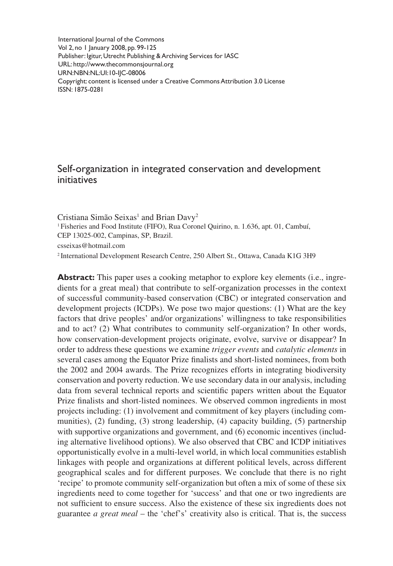International Journal of the Commons Vol 2, no 1 January 2008, pp. 99-125 Publisher: Igitur, Utrecht Publishing & Archiving Services for IASC URL: http://www.thecommonsjournal.org URN:NBN:NL:UI:10-IJC-08006 Copyright: content is licensed under a Creative Commons Attribution 3.0 License ISSN: 1875-0281

# Self-organization in integrated conservation and development initiatives

Cristiana Simão Seixas<sup>1</sup> and Brian Davy<sup>2</sup> <sup>1</sup> Fisheries and Food Institute (FIFO), Rua Coronel Quirino, n. 1.636, apt. 01, Cambuí, CEP 13025-002, Campinas, SP, Brazil. csseixas@hotmail.com 2 International Development Research Centre, 250 Albert St., Ottawa, Canada K1G 3H9

**Abstract:** This paper uses a cooking metaphor to explore key elements (i.e., ingredients for a great meal) that contribute to self-organization processes in the context of successful community-based conservation (CBC) or integrated conservation and development projects (ICDPs). We pose two major questions: (1) What are the key factors that drive peoples' and/or organizations' willingness to take responsibilities and to act? (2) What contributes to community self-organization? In other words, how conservation-development projects originate, evolve, survive or disappear? In order to address these questions we examine *trigger events* and *catalytic elements* in several cases among the Equator Prize finalists and short-listed nominees, from both the 2002 and 2004 awards. The Prize recognizes efforts in integrating biodiversity conservation and poverty reduction. We use secondary data in our analysis, including data from several technical reports and scientific papers written about the Equator Prize finalists and short-listed nominees. We observed common ingredients in most projects including: (1) involvement and commitment of key players (including communities), (2) funding, (3) strong leadership, (4) capacity building, (5) partnership with supportive organizations and government, and (6) economic incentives (including alternative livelihood options). We also observed that CBC and ICDP initiatives opportunistically evolve in a multi-level world, in which local communities establish linkages with people and organizations at different political levels, across different geographical scales and for different purposes. We conclude that there is no right 'recipe' to promote community self-organization but often a mix of some of these six ingredients need to come together for 'success' and that one or two ingredients are not sufficient to ensure success. Also the existence of these six ingredients does not guarantee *a great meal* – the 'chef's' creativity also is critical. That is, the success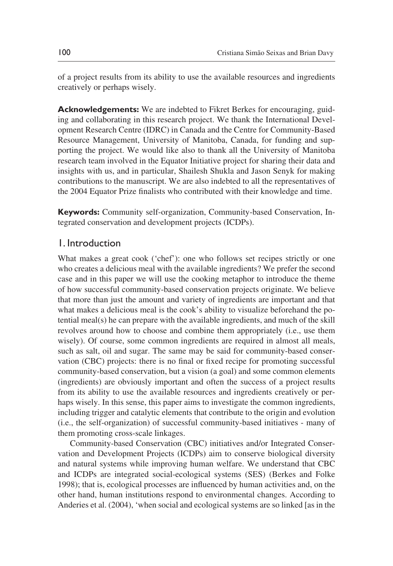of a project results from its ability to use the available resources and ingredients creatively or perhaps wisely.

**Acknowledgements:** We are indebted to Fikret Berkes for encouraging, guiding and collaborating in this research project. We thank the International Development Research Centre (IDRC) in Canada and the Centre for Community-Based Resource Management, University of Manitoba, Canada, for funding and supporting the project. We would like also to thank all the University of Manitoba research team involved in the Equator Initiative project for sharing their data and insights with us, and in particular, Shailesh Shukla and Jason Senyk for making contributions to the manuscript. We are also indebted to all the representatives of the 2004 Equator Prize finalists who contributed with their knowledge and time.

**Keywords:** Community self-organization, Community-based Conservation, Integrated conservation and development projects (ICDPs).

## 1. Introduction

What makes a great cook ('chef'): one who follows set recipes strictly or one who creates a delicious meal with the available ingredients? We prefer the second case and in this paper we will use the cooking metaphor to introduce the theme of how successful community-based conservation projects originate. We believe that more than just the amount and variety of ingredients are important and that what makes a delicious meal is the cook's ability to visualize beforehand the potential meal(s) he can prepare with the available ingredients, and much of the skill revolves around how to choose and combine them appropriately (i.e., use them wisely). Of course, some common ingredients are required in almost all meals, such as salt, oil and sugar. The same may be said for community-based conservation (CBC) projects: there is no final or fixed recipe for promoting successful community-based conservation, but a vision (a goal) and some common elements (ingredients) are obviously important and often the success of a project results from its ability to use the available resources and ingredients creatively or perhaps wisely. In this sense, this paper aims to investigate the common ingredients, including trigger and catalytic elements that contribute to the origin and evolution (i.e., the self-organization) of successful community-based initiatives - many of them promoting cross-scale linkages.

Community-based Conservation (CBC) initiatives and/or Integrated Conservation and Development Projects (ICDPs) aim to conserve biological diversity and natural systems while improving human welfare. We understand that CBC and ICDPs are integrated social-ecological systems (SES) (Berkes and Folke 1998); that is, ecological processes are influenced by human activities and, on the other hand, human institutions respond to environmental changes. According to Anderies et al. (2004), 'when social and ecological systems are so linked [as in the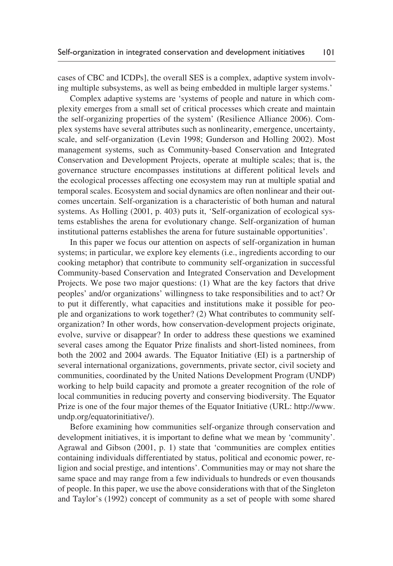cases of CBC and ICDPs], the overall SES is a complex, adaptive system involving multiple subsystems, as well as being embedded in multiple larger systems.'

Complex adaptive systems are 'systems of people and nature in which complexity emerges from a small set of critical processes which create and maintain the self-organizing properties of the system' (Resilience Alliance 2006). Complex systems have several attributes such as nonlinearity, emergence, uncertainty, scale, and self-organization (Levin 1998; Gunderson and Holling 2002). Most management systems, such as Community-based Conservation and Integrated Conservation and Development Projects, operate at multiple scales; that is, the governance structure encompasses institutions at different political levels and the ecological processes affecting one ecosystem may run at multiple spatial and temporal scales. Ecosystem and social dynamics are often nonlinear and their outcomes uncertain. Self-organization is a characteristic of both human and natural systems. As Holling (2001, p. 403) puts it, 'Self-organization of ecological systems establishes the arena for evolutionary change. Self-organization of human institutional patterns establishes the arena for future sustainable opportunities'.

In this paper we focus our attention on aspects of self-organization in human systems; in particular, we explore key elements (i.e., ingredients according to our cooking metaphor) that contribute to community self-organization in successful Community-based Conservation and Integrated Conservation and Development Projects. We pose two major questions: (1) What are the key factors that drive peoples' and/or organizations' willingness to take responsibilities and to act? Or to put it differently, what capacities and institutions make it possible for people and organizations to work together? (2) What contributes to community selforganization? In other words, how conservation-development projects originate, evolve, survive or disappear? In order to address these questions we examined several cases among the Equator Prize finalists and short-listed nominees, from both the 2002 and 2004 awards. The Equator Initiative (EI) is a partnership of several international organizations, governments, private sector, civil society and communities, coordinated by the United Nations Development Program (UNDP) working to help build capacity and promote a greater recognition of the role of local communities in reducing poverty and conserving biodiversity. The Equator Prize is one of the four major themes of the Equator Initiative (URL: http://www. undp.org/equatorinitiative/).

Before examining how communities self-organize through conservation and development initiatives, it is important to define what we mean by 'community'. Agrawal and Gibson (2001, p. 1) state that 'communities are complex entities containing individuals differentiated by status, political and economic power, religion and social prestige, and intentions'. Communities may or may not share the same space and may range from a few individuals to hundreds or even thousands of people. In this paper, we use the above considerations with that of the Singleton and Taylor's (1992) concept of community as a set of people with some shared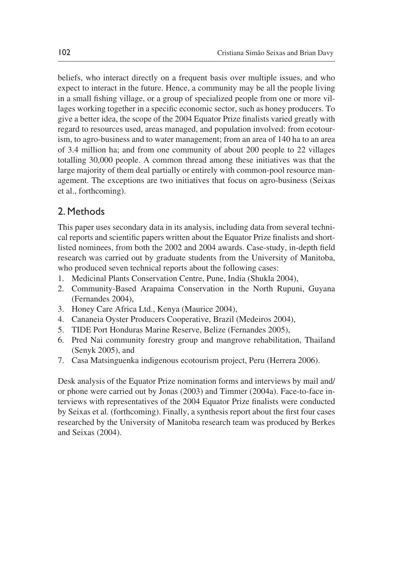beliefs, who interact directly on a frequent basis over multiple issues, and who expect to interact in the future. Hence, a community may be all the people living in a small fishing village, or a group of specialized people from one or more villages working together in a specific economic sector, such as honey producers. To give a better idea, the scope of the 2004 Equator Prize finalists varied greatly with regard to resources used, areas managed, and population involved: from ecotourism, to agro-business and to water management; from an area of 140 ha to an area of 3.4 million ha; and from one community of about 200 people to 22 villages totalling 30,000 people. A common thread among these initiatives was that the large majority of them deal partially or entirely with common-pool resource management. The exceptions are two initiatives that focus on agro-business (Seixas et al., forthcoming).

# 2. Methods

This paper uses secondary data in its analysis, including data from several technical reports and scientific papers written about the Equator Prize finalists and shortlisted nominees, from both the 2002 and 2004 awards. Case-study, in-depth field research was carried out by graduate students from the University of Manitoba, who produced seven technical reports about the following cases:

- 1. Medicinal Plants Conservation Centre, Pune, India (Shukla 2004),
- 2. Community-Based Arapaima Conservation in the North Rupuni, Guyana (Fernandes 2004),
- 3. Honey Care Africa Ltd., Kenya (Maurice 2004),
- 4. Cananeia Oyster Producers Cooperative, Brazil (Medeiros 2004),
- 5. TIDE Port Honduras Marine Reserve, Belize (Fernandes 2005),
- 6. Pred Nai community forestry group and mangrove rehabilitation, Thailand (Senyk 2005), and
- 7. Casa Matsinguenka indigenous ecotourism project, Peru (Herrera 2006).

Desk analysis of the Equator Prize nomination forms and interviews by mail and/ or phone were carried out by Jonas (2003) and Timmer (2004a). Face-to-face interviews with representatives of the 2004 Equator Prize finalists were conducted by Seixas et al. (forthcoming). Finally, a synthesis report about the first four cases researched by the University of Manitoba research team was produced by Berkes and Seixas (2004).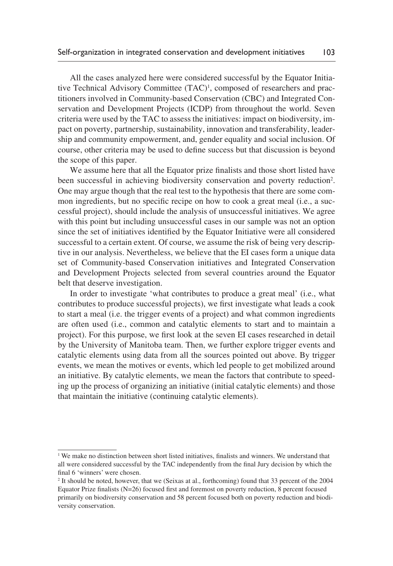All the cases analyzed here were considered successful by the Equator Initiative Technical Advisory Committee (TAC)<sup>1</sup>, composed of researchers and practitioners involved in Community-based Conservation (CBC) and Integrated Conservation and Development Projects (ICDP) from throughout the world. Seven criteria were used by the TAC to assess the initiatives: impact on biodiversity, impact on poverty, partnership, sustainability, innovation and transferability, leadership and community empowerment, and, gender equality and social inclusion. Of course, other criteria may be used to define success but that discussion is beyond the scope of this paper.

We assume here that all the Equator prize finalists and those short listed have been successful in achieving biodiversity conservation and poverty reduction<sup>2</sup>. One may argue though that the real test to the hypothesis that there are some common ingredients, but no specific recipe on how to cook a great meal (i.e., a successful project), should include the analysis of unsuccessful initiatives. We agree with this point but including unsuccessful cases in our sample was not an option since the set of initiatives identified by the Equator Initiative were all considered successful to a certain extent. Of course, we assume the risk of being very descriptive in our analysis. Nevertheless, we believe that the EI cases form a unique data set of Community-based Conservation initiatives and Integrated Conservation and Development Projects selected from several countries around the Equator belt that deserve investigation.

In order to investigate 'what contributes to produce a great meal' (i.e., what contributes to produce successful projects), we first investigate what leads a cook to start a meal (i.e. the trigger events of a project) and what common ingredients are often used (i.e., common and catalytic elements to start and to maintain a project). For this purpose, we first look at the seven EI cases researched in detail by the University of Manitoba team. Then, we further explore trigger events and catalytic elements using data from all the sources pointed out above. By trigger events, we mean the motives or events, which led people to get mobilized around an initiative. By catalytic elements, we mean the factors that contribute to speeding up the process of organizing an initiative (initial catalytic elements) and those that maintain the initiative (continuing catalytic elements).

<sup>&</sup>lt;sup>1</sup> We make no distinction between short listed initiatives, finalists and winners. We understand that all were considered successful by the TAC independently from the final Jury decision by which the final 6 'winners' were chosen.

<sup>2</sup> It should be noted, however, that we (Seixas at al., forthcoming) found that 33 percent of the 2004 Equator Prize finalists (N=26) focused first and foremost on poverty reduction, 8 percent focused primarily on biodiversity conservation and 58 percent focused both on poverty reduction and biodiversity conservation.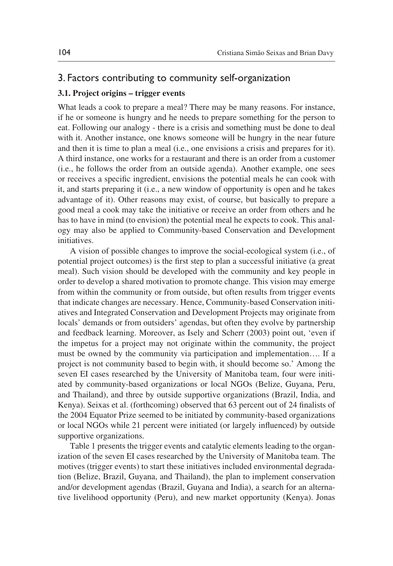## 3. Factors contributing to community self-organization

### **3.1. Project origins – trigger events**

What leads a cook to prepare a meal? There may be many reasons. For instance, if he or someone is hungry and he needs to prepare something for the person to eat. Following our analogy - there is a crisis and something must be done to deal with it. Another instance, one knows someone will be hungry in the near future and then it is time to plan a meal (i.e., one envisions a crisis and prepares for it). A third instance, one works for a restaurant and there is an order from a customer (i.e., he follows the order from an outside agenda). Another example, one sees or receives a specific ingredient, envisions the potential meals he can cook with it, and starts preparing it (i.e., a new window of opportunity is open and he takes advantage of it). Other reasons may exist, of course, but basically to prepare a good meal a cook may take the initiative or receive an order from others and he has to have in mind (to envision) the potential meal he expects to cook. This analogy may also be applied to Community-based Conservation and Development initiatives.

A vision of possible changes to improve the social-ecological system (i.e., of potential project outcomes) is the first step to plan a successful initiative (a great meal). Such vision should be developed with the community and key people in order to develop a shared motivation to promote change. This vision may emerge from within the community or from outside, but often results from trigger events that indicate changes are necessary. Hence, Community-based Conservation initiatives and Integrated Conservation and Development Projects may originate from locals' demands or from outsiders' agendas, but often they evolve by partnership and feedback learning. Moreover, as Isely and Scherr (2003) point out, 'even if the impetus for a project may not originate within the community, the project must be owned by the community via participation and implementation…. If a project is not community based to begin with, it should become so.' Among the seven EI cases researched by the University of Manitoba team, four were initiated by community-based organizations or local NGOs (Belize, Guyana, Peru, and Thailand), and three by outside supportive organizations (Brazil, India, and Kenya). Seixas et al. (forthcoming) observed that 63 percent out of 24 finalists of the 2004 Equator Prize seemed to be initiated by community-based organizations or local NGOs while 21 percent were initiated (or largely influenced) by outside supportive organizations.

Table 1 presents the trigger events and catalytic elements leading to the organization of the seven EI cases researched by the University of Manitoba team. The motives (trigger events) to start these initiatives included environmental degradation (Belize, Brazil, Guyana, and Thailand), the plan to implement conservation and/or development agendas (Brazil, Guyana and India), a search for an alternative livelihood opportunity (Peru), and new market opportunity (Kenya). Jonas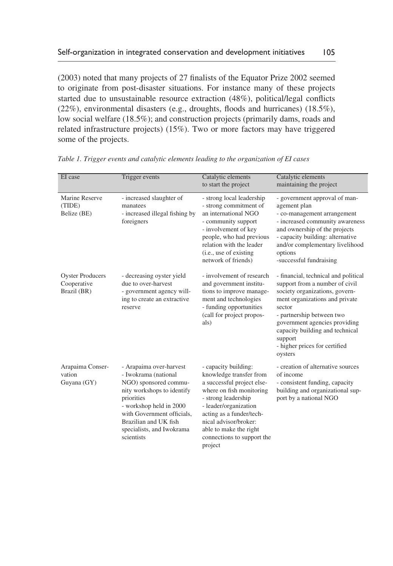(2003) noted that many projects of 27 finalists of the Equator Prize 2002 seemed to originate from post-disaster situations. For instance many of these projects started due to unsustainable resource extraction (48%), political/legal conflicts (22%), environmental disasters (e.g., droughts, floods and hurricanes) (18.5%), low social welfare (18.5%); and construction projects (primarily dams, roads and related infrastructure projects) (15%). Two or more factors may have triggered some of the projects.

| EI case                                               | Trigger events                                                                                                                                                                                                                                    | Catalytic elements<br>to start the project                                                                                                                                                                                                                                        | Catalytic elements<br>maintaining the project                                                                                                                                                                                                                                                                |
|-------------------------------------------------------|---------------------------------------------------------------------------------------------------------------------------------------------------------------------------------------------------------------------------------------------------|-----------------------------------------------------------------------------------------------------------------------------------------------------------------------------------------------------------------------------------------------------------------------------------|--------------------------------------------------------------------------------------------------------------------------------------------------------------------------------------------------------------------------------------------------------------------------------------------------------------|
| Marine Reserve<br>(TIDE)<br>Belize (BE)               | - increased slaughter of<br>manatees<br>- increased illegal fishing by<br>foreigners                                                                                                                                                              | - strong local leadership<br>- strong commitment of<br>an international NGO<br>- community support<br>- involvement of key<br>people, who had previous<br>relation with the leader<br>(i.e., use of existing<br>network of friends)                                               | - government approval of man-<br>agement plan<br>- co-management arrangement<br>- increased community awareness<br>and ownership of the projects<br>- capacity building: alternative<br>and/or complementary livelihood<br>options<br>-successful fundraising                                                |
| <b>Oyster Producers</b><br>Cooperative<br>Brazil (BR) | - decreasing oyster yield<br>due to over-harvest<br>- government agency will-<br>ing to create an extractive<br>reserve                                                                                                                           | - involvement of research<br>and government institu-<br>tions to improve manage-<br>ment and technologies<br>- funding opportunities<br>(call for project propos-<br>als)                                                                                                         | - financial, technical and political<br>support from a number of civil<br>society organizations, govern-<br>ment organizations and private<br>sector<br>- partnership between two<br>government agencies providing<br>capacity building and technical<br>support<br>- higher prices for certified<br>oysters |
| Arapaima Conser-<br>vation<br>Guyana (GY)             | - Arapaima over-harvest<br>- Iwokrama (national<br>NGO) sponsored commu-<br>nity workshops to identify<br>priorities<br>- workshop held in 2000<br>with Government officials.<br>Brazilian and UK fish<br>specialists, and Iwokrama<br>scientists | - capacity building:<br>knowledge transfer from<br>a successful project else-<br>where on fish monitoring<br>- strong leadership<br>- leader/organization<br>acting as a funder/tech-<br>nical advisor/broker:<br>able to make the right<br>connections to support the<br>project | - creation of alternative sources<br>of income<br>- consistent funding, capacity<br>building and organizational sup-<br>port by a national NGO                                                                                                                                                               |

*Table 1. Trigger events and catalytic elements leading to the organization of EI cases*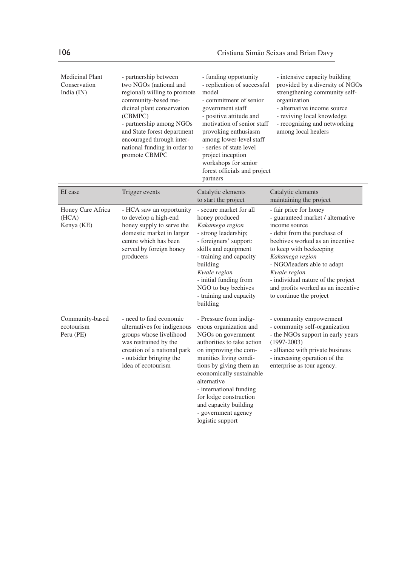| <b>Medicinal Plant</b><br>Conservation<br>India $(IN)$ | - partnership between<br>two NGOs (national and<br>regional) willing to promote<br>community-based me-<br>dicinal plant conservation<br>(CBMPC)<br>- partnership among NGOs<br>and State forest department<br>encouraged through inter-<br>national funding in order to<br>promote CBMPC | - funding opportunity<br>- replication of successful<br>model<br>- commitment of senior<br>government staff<br>- positive attitude and<br>motivation of senior staff<br>provoking enthusiasm<br>among lower-level staff<br>- series of state level<br>project inception<br>workshops for senior<br>forest officials and project<br>partners            | - intensive capacity building<br>provided by a diversity of NGOs<br>strengthening community self-<br>organization<br>- alternative income source<br>- reviving local knowledge<br>- recognizing and networking<br>among local healers                                                                                                               |
|--------------------------------------------------------|------------------------------------------------------------------------------------------------------------------------------------------------------------------------------------------------------------------------------------------------------------------------------------------|--------------------------------------------------------------------------------------------------------------------------------------------------------------------------------------------------------------------------------------------------------------------------------------------------------------------------------------------------------|-----------------------------------------------------------------------------------------------------------------------------------------------------------------------------------------------------------------------------------------------------------------------------------------------------------------------------------------------------|
| EI case                                                | Trigger events                                                                                                                                                                                                                                                                           | Catalytic elements<br>to start the project                                                                                                                                                                                                                                                                                                             | Catalytic elements<br>maintaining the project                                                                                                                                                                                                                                                                                                       |
| Honey Care Africa<br>(HCA)<br>Kenya (KE)               | - HCA saw an opportunity<br>to develop a high-end<br>honey supply to serve the<br>domestic market in larger<br>centre which has been<br>served by foreign honey<br>producers                                                                                                             | - secure market for all<br>honey produced<br>Kakamega region<br>- strong leadership;<br>- foreigners' support:<br>skills and equipment<br>- training and capacity<br>building<br>Kwale region<br>- initial funding from<br>NGO to buy beehives<br>- training and capacity<br>building                                                                  | - fair price for honey<br>- guaranteed market / alternative<br>income source<br>- debit from the purchase of<br>beehives worked as an incentive<br>to keep with beekeeping<br>Kakamega region<br>- NGO/leaders able to adapt<br>Kwale region<br>- individual nature of the project<br>and profits worked as an incentive<br>to continue the project |
| Community-based<br>ecotourism<br>Peru (PE)             | - need to find economic<br>alternatives for indigenous<br>groups whose livelihood<br>was restrained by the<br>creation of a national park<br>- outsider bringing the<br>idea of ecotourism                                                                                               | - Pressure from indig-<br>enous organization and<br>NGOs on government<br>authorities to take action<br>on improving the com-<br>munities living condi-<br>tions by giving them an<br>economically sustainable<br>alternative<br>- international funding<br>for lodge construction<br>and capacity building<br>- government agency<br>logistic support | - community empowerment<br>- community self-organization<br>- the NGOs support in early years<br>$(1997 - 2003)$<br>- alliance with private business<br>- increasing operation of the<br>enterprise as tour agency.                                                                                                                                 |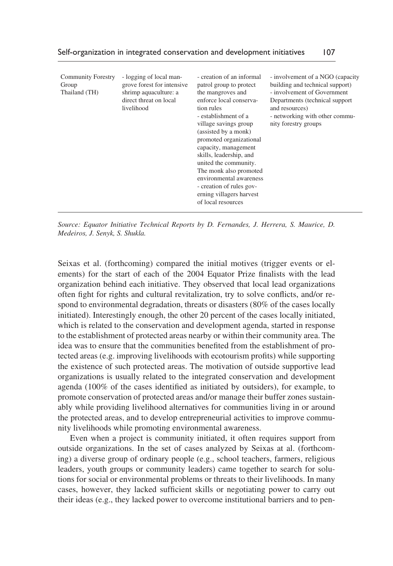| Self-organization in integrated conservation and development initiatives |  | 107 |
|--------------------------------------------------------------------------|--|-----|
|--------------------------------------------------------------------------|--|-----|

| <b>Community Forestry</b><br>Group<br>Thailand (TH) | - logging of local man-<br>grove forest for intensive<br>shrimp aquaculture: a<br>direct threat on local<br>livelihood | - creation of an informal<br>patrol group to protect<br>the mangroves and<br>enforce local conserva-<br>tion rules<br>- establishment of a<br>village savings group<br>(assisted by a monk)<br>promoted organizational<br>capacity, management<br>skills, leadership, and<br>united the community.<br>The monk also promoted<br>environmental awareness<br>- creation of rules gov-<br>erning villagers harvest<br>of local resources | - involvement of a NGO (capacity<br>building and technical support)<br>- involvement of Government<br>Departments (technical support<br>and resources)<br>- networking with other commu-<br>nity forestry groups |
|-----------------------------------------------------|------------------------------------------------------------------------------------------------------------------------|---------------------------------------------------------------------------------------------------------------------------------------------------------------------------------------------------------------------------------------------------------------------------------------------------------------------------------------------------------------------------------------------------------------------------------------|------------------------------------------------------------------------------------------------------------------------------------------------------------------------------------------------------------------|
|-----------------------------------------------------|------------------------------------------------------------------------------------------------------------------------|---------------------------------------------------------------------------------------------------------------------------------------------------------------------------------------------------------------------------------------------------------------------------------------------------------------------------------------------------------------------------------------------------------------------------------------|------------------------------------------------------------------------------------------------------------------------------------------------------------------------------------------------------------------|

*Source: Equator Initiative Technical Reports by D. Fernandes, J. Herrera, S. Maurice, D. Medeiros, J. Senyk, S. Shukla.*

Seixas et al. (forthcoming) compared the initial motives (trigger events or elements) for the start of each of the 2004 Equator Prize finalists with the lead organization behind each initiative. They observed that local lead organizations often fight for rights and cultural revitalization, try to solve conflicts, and/or respond to environmental degradation, threats or disasters (80% of the cases locally initiated). Interestingly enough, the other 20 percent of the cases locally initiated, which is related to the conservation and development agenda, started in response to the establishment of protected areas nearby or within their community area. The idea was to ensure that the communities benefited from the establishment of protected areas (e.g. improving livelihoods with ecotourism profits) while supporting the existence of such protected areas. The motivation of outside supportive lead organizations is usually related to the integrated conservation and development agenda (100% of the cases identified as initiated by outsiders), for example, to promote conservation of protected areas and/or manage their buffer zones sustainably while providing livelihood alternatives for communities living in or around the protected areas, and to develop entrepreneurial activities to improve community livelihoods while promoting environmental awareness.

Even when a project is community initiated, it often requires support from outside organizations. In the set of cases analyzed by Seixas at al. (forthcoming) a diverse group of ordinary people (e.g., school teachers, farmers, religious leaders, youth groups or community leaders) came together to search for solutions for social or environmental problems or threats to their livelihoods. In many cases, however, they lacked sufficient skills or negotiating power to carry out their ideas (e.g., they lacked power to overcome institutional barriers and to pen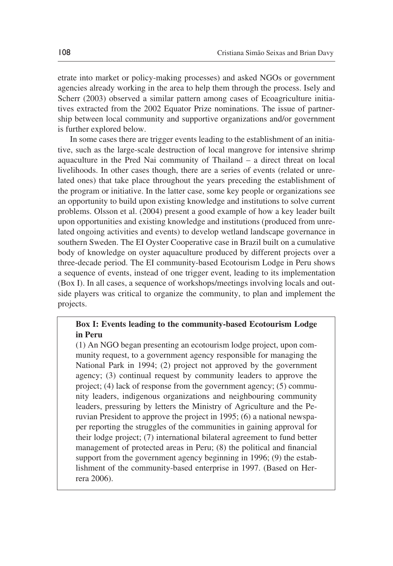etrate into market or policy-making processes) and asked NGOs or government agencies already working in the area to help them through the process. Isely and Scherr (2003) observed a similar pattern among cases of Ecoagriculture initiatives extracted from the 2002 Equator Prize nominations. The issue of partnership between local community and supportive organizations and/or government is further explored below.

In some cases there are trigger events leading to the establishment of an initiative, such as the large-scale destruction of local mangrove for intensive shrimp aquaculture in the Pred Nai community of Thailand – a direct threat on local livelihoods. In other cases though, there are a series of events (related or unrelated ones) that take place throughout the years preceding the establishment of the program or initiative. In the latter case, some key people or organizations see an opportunity to build upon existing knowledge and institutions to solve current problems. Olsson et al. (2004) present a good example of how a key leader built upon opportunities and existing knowledge and institutions (produced from unrelated ongoing activities and events) to develop wetland landscape governance in southern Sweden. The EI Oyster Cooperative case in Brazil built on a cumulative body of knowledge on oyster aquaculture produced by different projects over a three-decade period. The EI community-based Ecotourism Lodge in Peru shows a sequence of events, instead of one trigger event, leading to its implementation (Box I). In all cases, a sequence of workshops/meetings involving locals and outside players was critical to organize the community, to plan and implement the projects.

## **Box I: Events leading to the community-based Ecotourism Lodge in Peru**

(1) An NGO began presenting an ecotourism lodge project, upon community request, to a government agency responsible for managing the National Park in 1994; (2) project not approved by the government agency; (3) continual request by community leaders to approve the project; (4) lack of response from the government agency; (5) community leaders, indigenous organizations and neighbouring community leaders, pressuring by letters the Ministry of Agriculture and the Peruvian President to approve the project in 1995; (6) a national newspaper reporting the struggles of the communities in gaining approval for their lodge project; (7) international bilateral agreement to fund better management of protected areas in Peru; (8) the political and financial support from the government agency beginning in 1996; (9) the establishment of the community-based enterprise in 1997. (Based on Herrera 2006).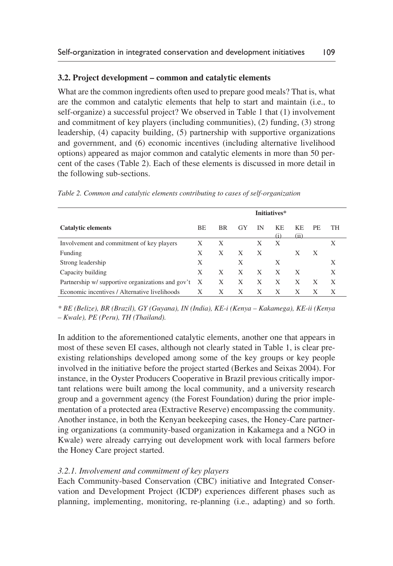## **3.2. Project development – common and catalytic elements**

What are the common ingredients often used to prepare good meals? That is, what are the common and catalytic elements that help to start and maintain (i.e., to self-organize) a successful project? We observed in Table 1 that (1) involvement and commitment of key players (including communities), (2) funding, (3) strong leadership, (4) capacity building, (5) partnership with supportive organizations and government, and (6) economic incentives (including alternative livelihood options) appeared as major common and catalytic elements in more than 50 percent of the cases (Table 2). Each of these elements is discussed in more detail in the following sub-sections.

|                                                   |    | Initiatives* |    |    |                       |             |     |    |
|---------------------------------------------------|----|--------------|----|----|-----------------------|-------------|-----|----|
| <b>Catalytic elements</b>                         | BE | <b>BR</b>    | GY | ΙN | K <sub>E</sub><br>(i) | KF.<br>(ii) | PE. | TH |
| Involvement and commitment of key players         | Х  | X            |    | X  | Х                     |             |     | X  |
| Funding                                           | Х  | X            | X  | X  |                       | X           | X   |    |
| Strong leadership                                 | X  |              | X  |    | X                     |             |     | X  |
| Capacity building                                 | X  | X            | X  | X  | X                     | X           |     | X  |
| Partnership w/ supportive organizations and gov't | X  | X            | X  | X  | X                     | X           | X   | X  |
| Economic incentives / Alternative livelihoods     | Х  | X            | X  | X  | X                     | X           | X   |    |

*Table 2. Common and catalytic elements contributing to cases of self-organization* 

*\* BE (Belize), BR (Brazil), GY (Guyana), IN (India), KE-i (Kenya – Kakamega), KE-ii (Kenya – Kwale), PE (Peru), TH (Thailand).* 

In addition to the aforementioned catalytic elements, another one that appears in most of these seven EI cases, although not clearly stated in Table 1, is clear preexisting relationships developed among some of the key groups or key people involved in the initiative before the project started (Berkes and Seixas 2004). For instance, in the Oyster Producers Cooperative in Brazil previous critically important relations were built among the local community, and a university research group and a government agency (the Forest Foundation) during the prior implementation of a protected area (Extractive Reserve) encompassing the community. Another instance, in both the Kenyan beekeeping cases, the Honey-Care partnering organizations (a community-based organization in Kakamega and a NGO in Kwale) were already carrying out development work with local farmers before the Honey Care project started.

### *3.2.1. Involvement and commitment of key players*

Each Community-based Conservation (CBC) initiative and Integrated Conservation and Development Project (ICDP) experiences different phases such as planning, implementing, monitoring, re-planning (i.e., adapting) and so forth.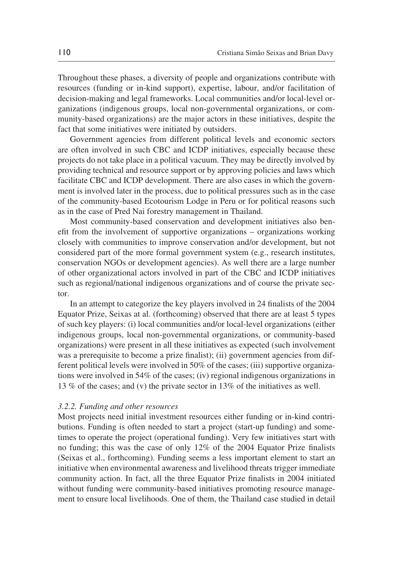Throughout these phases, a diversity of people and organizations contribute with resources (funding or in-kind support), expertise, labour, and/or facilitation of decision-making and legal frameworks. Local communities and/or local-level organizations (indigenous groups, local non-governmental organizations, or community-based organizations) are the major actors in these initiatives, despite the fact that some initiatives were initiated by outsiders.

Government agencies from different political levels and economic sectors are often involved in such CBC and ICDP initiatives, especially because these projects do not take place in a political vacuum. They may be directly involved by providing technical and resource support or by approving policies and laws which facilitate CBC and ICDP development. There are also cases in which the government is involved later in the process, due to political pressures such as in the case of the community-based Ecotourism Lodge in Peru or for political reasons such as in the case of Pred Nai forestry management in Thailand.

Most community-based conservation and development initiatives also benefit from the involvement of supportive organizations – organizations working closely with communities to improve conservation and/or development, but not considered part of the more formal government system (e.g., research institutes, conservation NGOs or development agencies). As well there are a large number of other organizational actors involved in part of the CBC and ICDP initiatives such as regional/national indigenous organizations and of course the private sector.

In an attempt to categorize the key players involved in 24 finalists of the 2004 Equator Prize, Seixas at al. (forthcoming) observed that there are at least 5 types of such key players: (i) local communities and/or local-level organizations (either indigenous groups, local non-governmental organizations, or community-based organizations) were present in all these initiatives as expected (such involvement was a prerequisite to become a prize finalist); (ii) government agencies from different political levels were involved in 50% of the cases; (iii) supportive organizations were involved in 54% of the cases; (iv) regional indigenous organizations in 13 % of the cases; and (v) the private sector in 13% of the initiatives as well.

#### *3.2.2. Funding and other resources*

Most projects need initial investment resources either funding or in-kind contributions. Funding is often needed to start a project (start-up funding) and sometimes to operate the project (operational funding). Very few initiatives start with no funding; this was the case of only 12% of the 2004 Equator Prize finalists (Seixas et al., forthcoming). Funding seems a less important element to start an initiative when environmental awareness and livelihood threats trigger immediate community action. In fact, all the three Equator Prize finalists in 2004 initiated without funding were community-based initiatives promoting resource management to ensure local livelihoods. One of them, the Thailand case studied in detail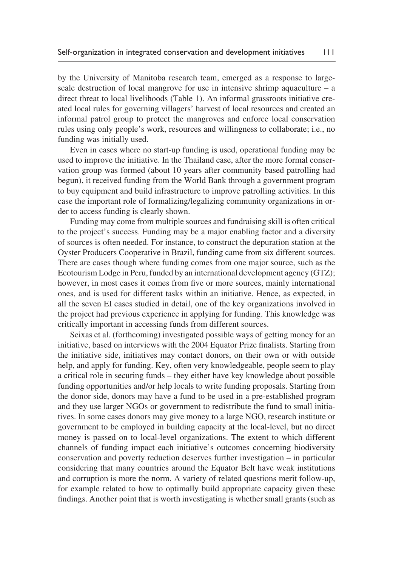by the University of Manitoba research team, emerged as a response to largescale destruction of local mangrove for use in intensive shrimp aquaculture – a direct threat to local livelihoods (Table 1). An informal grassroots initiative created local rules for governing villagers' harvest of local resources and created an informal patrol group to protect the mangroves and enforce local conservation rules using only people's work, resources and willingness to collaborate; i.e., no funding was initially used.

Even in cases where no start-up funding is used, operational funding may be used to improve the initiative. In the Thailand case, after the more formal conservation group was formed (about 10 years after community based patrolling had begun), it received funding from the World Bank through a government program to buy equipment and build infrastructure to improve patrolling activities. In this case the important role of formalizing/legalizing community organizations in order to access funding is clearly shown.

Funding may come from multiple sources and fundraising skill is often critical to the project's success. Funding may be a major enabling factor and a diversity of sources is often needed. For instance, to construct the depuration station at the Oyster Producers Cooperative in Brazil, funding came from six different sources. There are cases though where funding comes from one major source, such as the Ecotourism Lodge in Peru, funded by an international development agency (GTZ); however, in most cases it comes from five or more sources, mainly international ones, and is used for different tasks within an initiative. Hence, as expected, in all the seven EI cases studied in detail, one of the key organizations involved in the project had previous experience in applying for funding. This knowledge was critically important in accessing funds from different sources.

Seixas et al. (forthcoming) investigated possible ways of getting money for an initiative, based on interviews with the 2004 Equator Prize finalists. Starting from the initiative side, initiatives may contact donors, on their own or with outside help, and apply for funding. Key, often very knowledgeable, people seem to play a critical role in securing funds – they either have key knowledge about possible funding opportunities and/or help locals to write funding proposals. Starting from the donor side, donors may have a fund to be used in a pre-established program and they use larger NGOs or government to redistribute the fund to small initiatives. In some cases donors may give money to a large NGO, research institute or government to be employed in building capacity at the local-level, but no direct money is passed on to local-level organizations. The extent to which different channels of funding impact each initiative's outcomes concerning biodiversity conservation and poverty reduction deserves further investigation – in particular considering that many countries around the Equator Belt have weak institutions and corruption is more the norm. A variety of related questions merit follow-up, for example related to how to optimally build appropriate capacity given these findings. Another point that is worth investigating is whether small grants (such as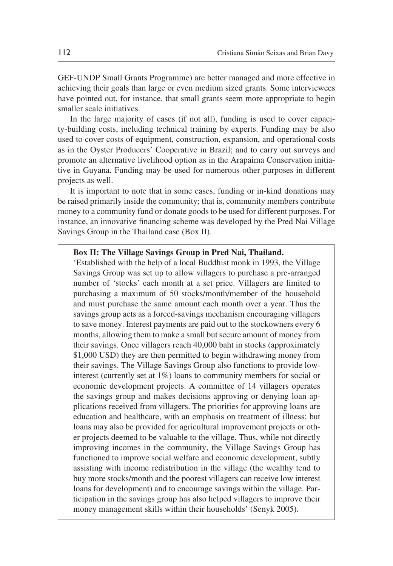GEF-UNDP Small Grants Programme) are better managed and more effective in achieving their goals than large or even medium sized grants. Some interviewees have pointed out, for instance, that small grants seem more appropriate to begin smaller scale initiatives.

In the large majority of cases (if not all), funding is used to cover capacity-building costs, including technical training by experts. Funding may be also used to cover costs of equipment, construction, expansion, and operational costs as in the Oyster Producers' Cooperative in Brazil; and to carry out surveys and promote an alternative livelihood option as in the Arapaima Conservation initiative in Guyana. Funding may be used for numerous other purposes in different projects as well.

It is important to note that in some cases, funding or in-kind donations may be raised primarily inside the community; that is, community members contribute money to a community fund or donate goods to be used for different purposes. For instance, an innovative financing scheme was developed by the Pred Nai Village Savings Group in the Thailand case (Box II).

### **Box II: The Village Savings Group in Pred Nai, Thailand.**

'Established with the help of a local Buddhist monk in 1993, the Village Savings Group was set up to allow villagers to purchase a pre-arranged number of 'stocks' each month at a set price. Villagers are limited to purchasing a maximum of 50 stocks/month/member of the household and must purchase the same amount each month over a year. Thus the savings group acts as a forced-savings mechanism encouraging villagers to save money. Interest payments are paid out to the stockowners every 6 months, allowing them to make a small but secure amount of money from their savings. Once villagers reach 40,000 baht in stocks (approximately \$1,000 USD) they are then permitted to begin withdrawing money from their savings. The Village Savings Group also functions to provide lowinterest (currently set at 1%) loans to community members for social or economic development projects. A committee of 14 villagers operates the savings group and makes decisions approving or denying loan applications received from villagers. The priorities for approving loans are education and healthcare, with an emphasis on treatment of illness; but loans may also be provided for agricultural improvement projects or other projects deemed to be valuable to the village. Thus, while not directly improving incomes in the community, the Village Savings Group has functioned to improve social welfare and economic development, subtly assisting with income redistribution in the village (the wealthy tend to buy more stocks/month and the poorest villagers can receive low interest loans for development) and to encourage savings within the village. Participation in the savings group has also helped villagers to improve their money management skills within their households' (Senyk 2005).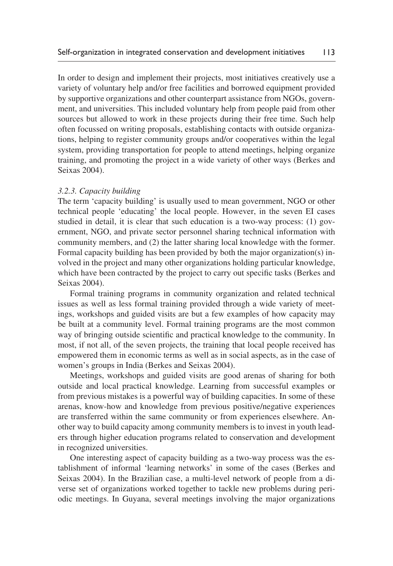In order to design and implement their projects, most initiatives creatively use a variety of voluntary help and/or free facilities and borrowed equipment provided by supportive organizations and other counterpart assistance from NGOs, government, and universities. This included voluntary help from people paid from other sources but allowed to work in these projects during their free time. Such help often focussed on writing proposals, establishing contacts with outside organizations, helping to register community groups and/or cooperatives within the legal system, providing transportation for people to attend meetings, helping organize training, and promoting the project in a wide variety of other ways (Berkes and Seixas 2004).

#### *3.2.3. Capacity building*

The term 'capacity building' is usually used to mean government, NGO or other technical people 'educating' the local people. However, in the seven EI cases studied in detail, it is clear that such education is a two-way process: (1) government, NGO, and private sector personnel sharing technical information with community members, and (2) the latter sharing local knowledge with the former. Formal capacity building has been provided by both the major organization(s) involved in the project and many other organizations holding particular knowledge, which have been contracted by the project to carry out specific tasks (Berkes and Seixas 2004).

Formal training programs in community organization and related technical issues as well as less formal training provided through a wide variety of meetings, workshops and guided visits are but a few examples of how capacity may be built at a community level. Formal training programs are the most common way of bringing outside scientific and practical knowledge to the community. In most, if not all, of the seven projects, the training that local people received has empowered them in economic terms as well as in social aspects, as in the case of women's groups in India (Berkes and Seixas 2004).

Meetings, workshops and guided visits are good arenas of sharing for both outside and local practical knowledge. Learning from successful examples or from previous mistakes is a powerful way of building capacities. In some of these arenas, know-how and knowledge from previous positive/negative experiences are transferred within the same community or from experiences elsewhere. Another way to build capacity among community members is to invest in youth leaders through higher education programs related to conservation and development in recognized universities.

One interesting aspect of capacity building as a two-way process was the establishment of informal 'learning networks' in some of the cases (Berkes and Seixas 2004). In the Brazilian case, a multi-level network of people from a diverse set of organizations worked together to tackle new problems during periodic meetings. In Guyana, several meetings involving the major organizations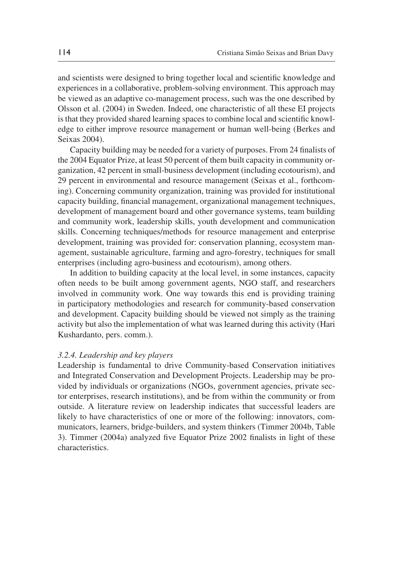and scientists were designed to bring together local and scientific knowledge and experiences in a collaborative, problem-solving environment. This approach may be viewed as an adaptive co-management process, such was the one described by Olsson et al. (2004) in Sweden. Indeed, one characteristic of all these EI projects is that they provided shared learning spaces to combine local and scientific knowledge to either improve resource management or human well-being (Berkes and Seixas 2004).

Capacity building may be needed for a variety of purposes. From 24 finalists of the 2004 Equator Prize, at least 50 percent of them built capacity in community organization, 42 percent in small-business development (including ecotourism), and 29 percent in environmental and resource management (Seixas et al., forthcoming). Concerning community organization, training was provided for institutional capacity building, financial management, organizational management techniques, development of management board and other governance systems, team building and community work, leadership skills, youth development and communication skills. Concerning techniques/methods for resource management and enterprise development, training was provided for: conservation planning, ecosystem management, sustainable agriculture, farming and agro-forestry, techniques for small enterprises (including agro-business and ecotourism), among others.

In addition to building capacity at the local level, in some instances, capacity often needs to be built among government agents, NGO staff, and researchers involved in community work. One way towards this end is providing training in participatory methodologies and research for community-based conservation and development. Capacity building should be viewed not simply as the training activity but also the implementation of what was learned during this activity (Hari Kushardanto, pers. comm.).

#### *3.2.4. Leadership and key players*

Leadership is fundamental to drive Community-based Conservation initiatives and Integrated Conservation and Development Projects. Leadership may be provided by individuals or organizations (NGOs, government agencies, private sector enterprises, research institutions), and be from within the community or from outside. A literature review on leadership indicates that successful leaders are likely to have characteristics of one or more of the following: innovators, communicators, learners, bridge-builders, and system thinkers (Timmer 2004b, Table 3). Timmer (2004a) analyzed five Equator Prize 2002 finalists in light of these characteristics.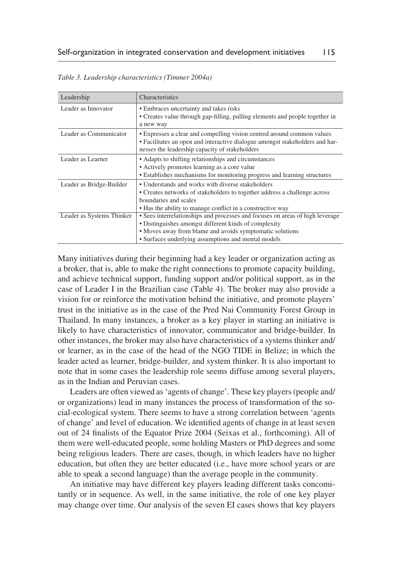| Leadership                | Characteristics                                                                                                                                                                                                                                           |
|---------------------------|-----------------------------------------------------------------------------------------------------------------------------------------------------------------------------------------------------------------------------------------------------------|
| Leader as Innovator       | • Embraces uncertainty and takes risks<br>• Creates value through gap-filling, pulling elements and people together in<br>a new way                                                                                                                       |
| Leader as Communicator    | • Expresses a clear and compelling vision centred around common values<br>• Facilitates an open and interactive dialogue amongst stakeholders and har-<br>nesses the leadership capacity of stakeholders                                                  |
| Leader as Learner         | • Adapts to shifting relationships and circumstances<br>• Actively promotes learning as a core value<br>• Establishes mechanisms for monitoring progress and learning structures                                                                          |
| Leader as Bridge-Builder  | • Understands and works with diverse stakeholders<br>• Creates networks of stakeholders to together address a challenge across<br>boundaries and scales<br>• Has the ability to manage conflict in a constructive way                                     |
| Leader as Systems Thinker | • Sees interrelationships and processes and focuses on areas of high leverage<br>• Distinguishes amongst different kinds of complexity<br>• Moves away from blame and avoids symptomatic solutions<br>• Surfaces underlying assumptions and mental models |

*Table 3. Leadership characteristics (Timmer 2004a)*

Many initiatives during their beginning had a key leader or organization acting as a broker, that is, able to make the right connections to promote capacity building, and achieve technical support, funding support and/or political support, as in the case of Leader I in the Brazilian case (Table 4). The broker may also provide a vision for or reinforce the motivation behind the initiative, and promote players' trust in the initiative as in the case of the Pred Nai Community Forest Group in Thailand. In many instances, a broker as a key player in starting an initiative is likely to have characteristics of innovator, communicator and bridge-builder. In other instances, the broker may also have characteristics of a systems thinker and/ or learner, as in the case of the head of the NGO TIDE in Belize; in which the leader acted as learner, bridge-builder, and system thinker. It is also important to note that in some cases the leadership role seems diffuse among several players, as in the Indian and Peruvian cases.

Leaders are often viewed as 'agents of change'. These key players (people and/ or organizations) lead in many instances the process of transformation of the social-ecological system. There seems to have a strong correlation between 'agents of change' and level of education. We identified agents of change in at least seven out of 24 finalists of the Equator Prize 2004 (Seixas et al., forthcoming). All of them were well-educated people, some holding Masters or PhD degrees and some being religious leaders. There are cases, though, in which leaders have no higher education, but often they are better educated (i.e., have more school years or are able to speak a second language) than the average people in the community.

An initiative may have different key players leading different tasks concomitantly or in sequence. As well, in the same initiative, the role of one key player may change over time. Our analysis of the seven EI cases shows that key players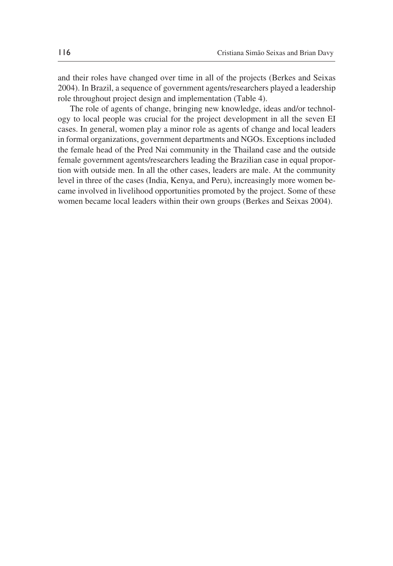and their roles have changed over time in all of the projects (Berkes and Seixas 2004). In Brazil, a sequence of government agents/researchers played a leadership role throughout project design and implementation (Table 4).

The role of agents of change, bringing new knowledge, ideas and/or technology to local people was crucial for the project development in all the seven EI cases. In general, women play a minor role as agents of change and local leaders in formal organizations, government departments and NGOs. Exceptions included the female head of the Pred Nai community in the Thailand case and the outside female government agents/researchers leading the Brazilian case in equal proportion with outside men. In all the other cases, leaders are male. At the community level in three of the cases (India, Kenya, and Peru), increasingly more women became involved in livelihood opportunities promoted by the project. Some of these women became local leaders within their own groups (Berkes and Seixas 2004).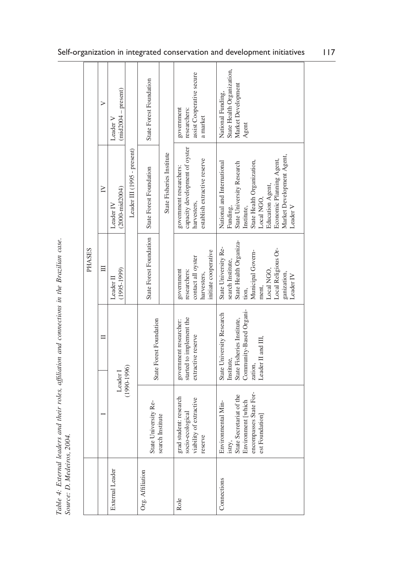|                                                                                               |        | ⋗        | $(mid2004 - present)$<br>Leader V                              | State Forest Foundation |                           | assist Cooperative secure<br>government<br>researchers:<br>a market                                      | State Health Organization,<br>Market Development<br>National Funding,<br>Agent                                                                                                                                         |                                                                                                                                   |
|-----------------------------------------------------------------------------------------------|--------|----------|----------------------------------------------------------------|-------------------------|---------------------------|----------------------------------------------------------------------------------------------------------|------------------------------------------------------------------------------------------------------------------------------------------------------------------------------------------------------------------------|-----------------------------------------------------------------------------------------------------------------------------------|
|                                                                                               |        | $\geq$   | Leader III (1995 - present)<br>$(2000 - mid2004)$<br>Leader IV | State Forest Foundation | State Fisheries Institute | capacity development of oyster<br>establish extractive reserve<br>government researchers:<br>harvesters, | Market Development Agent,<br>Economic Planning Agent,<br>State Health Organization,<br>National and International<br>State University Research<br>Education Agent,<br>Local NGO,<br>Leader V<br>Institute,<br>Funding, |                                                                                                                                   |
|                                                                                               | PHASES | Ħ        | $(1995 - 1999)$<br>Leader II                                   | State Forest Foundation |                           | initiate cooperative<br>contact all oyster<br>government<br>researchers:<br>harvesters,                  | State Health Organiza-<br>State University Re-<br>Local Religious Or-<br>Municipal Govern-<br>search Institute,<br>Local NGO,<br>ganization,<br>Leader IV<br>ment,<br>tion,                                            |                                                                                                                                   |
|                                                                                               | ᄇ      |          |                                                                |                         | State Forest Foundation   |                                                                                                          | started to implement the<br>government researcher:<br>extractive reserve                                                                                                                                               | Community-Based Organi-<br>State University Research<br>State Fisheries Institute,<br>Leader II and III,<br>Institute,<br>zation, |
| Table 4: External leaders and their roles, affiliation and connections in the Brazilian case. |        | Leader I | $(1990-1996)$                                                  | State University Re-    | search Institute          | grad student: research<br>of extractive<br>socio-ecological<br>viability<br>reserve                      | encompasses State For-<br>State Secretariat of the<br>Environment [which<br>Environmental Min-<br>est Foundation]<br>istry,                                                                                            |                                                                                                                                   |
| Source: D. Medeiros, 2004.                                                                    |        |          | External Leader                                                | Org. Affiliation        |                           | Role                                                                                                     | Connections                                                                                                                                                                                                            |                                                                                                                                   |

Table 4: External leaders and their roles, affiliation and connections in the Brazilian case.<br>Source: D. Medeiros, 2004.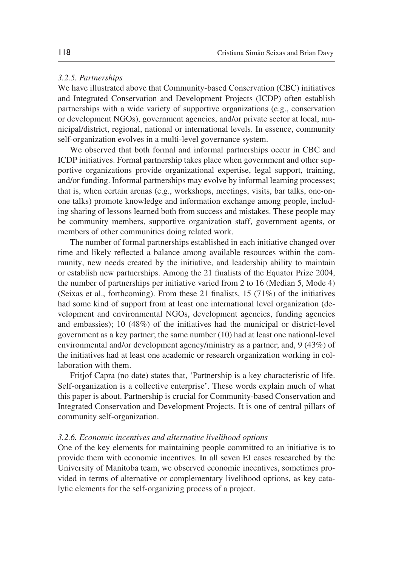### *3.2.5. Partnerships*

We have illustrated above that Community-based Conservation (CBC) initiatives and Integrated Conservation and Development Projects (ICDP) often establish partnerships with a wide variety of supportive organizations (e.g., conservation or development NGOs), government agencies, and/or private sector at local, municipal/district, regional, national or international levels. In essence, community self-organization evolves in a multi-level governance system.

We observed that both formal and informal partnerships occur in CBC and ICDP initiatives. Formal partnership takes place when government and other supportive organizations provide organizational expertise, legal support, training, and/or funding. Informal partnerships may evolve by informal learning processes; that is, when certain arenas (e.g., workshops, meetings, visits, bar talks, one-onone talks) promote knowledge and information exchange among people, including sharing of lessons learned both from success and mistakes. These people may be community members, supportive organization staff, government agents, or members of other communities doing related work.

The number of formal partnerships established in each initiative changed over time and likely reflected a balance among available resources within the community, new needs created by the initiative, and leadership ability to maintain or establish new partnerships. Among the 21 finalists of the Equator Prize 2004, the number of partnerships per initiative varied from 2 to 16 (Median 5, Mode 4) (Seixas et al., forthcoming). From these 21 finalists, 15 (71%) of the initiatives had some kind of support from at least one international level organization (development and environmental NGOs, development agencies, funding agencies and embassies); 10 (48%) of the initiatives had the municipal or district-level government as a key partner; the same number (10) had at least one national-level environmental and/or development agency/ministry as a partner; and, 9 (43%) of the initiatives had at least one academic or research organization working in collaboration with them.

Fritjof Capra (no date) states that, 'Partnership is a key characteristic of life. Self-organization is a collective enterprise'. These words explain much of what this paper is about. Partnership is crucial for Community-based Conservation and Integrated Conservation and Development Projects. It is one of central pillars of community self-organization.

#### *3.2.6. Economic incentives and alternative livelihood options*

One of the key elements for maintaining people committed to an initiative is to provide them with economic incentives. In all seven EI cases researched by the University of Manitoba team, we observed economic incentives, sometimes provided in terms of alternative or complementary livelihood options, as key catalytic elements for the self-organizing process of a project.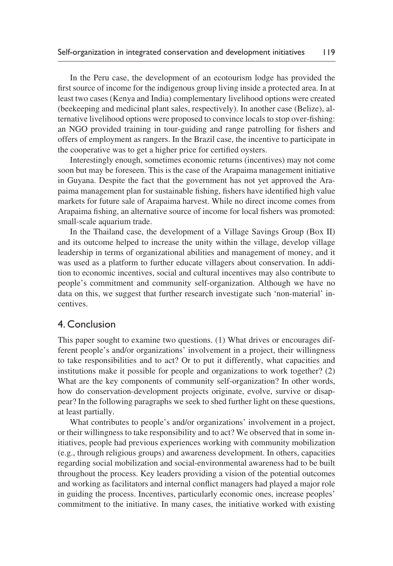In the Peru case, the development of an ecotourism lodge has provided the first source of income for the indigenous group living inside a protected area. In at least two cases (Kenya and India) complementary livelihood options were created (beekeeping and medicinal plant sales, respectively). In another case (Belize), alternative livelihood options were proposed to convince locals to stop over-fishing: an NGO provided training in tour-guiding and range patrolling for fishers and offers of employment as rangers. In the Brazil case, the incentive to participate in the cooperative was to get a higher price for certified oysters.

Interestingly enough, sometimes economic returns (incentives) may not come soon but may be foreseen. This is the case of the Arapaima management initiative in Guyana. Despite the fact that the government has not yet approved the Arapaima management plan for sustainable fishing, fishers have identified high value markets for future sale of Arapaima harvest. While no direct income comes from Arapaima fishing, an alternative source of income for local fishers was promoted: small-scale aquarium trade.

In the Thailand case, the development of a Village Savings Group (Box II) and its outcome helped to increase the unity within the village, develop village leadership in terms of organizational abilities and management of money, and it was used as a platform to further educate villagers about conservation. In addition to economic incentives, social and cultural incentives may also contribute to people's commitment and community self-organization. Although we have no data on this, we suggest that further research investigate such 'non-material' incentives.

# 4. Conclusion

This paper sought to examine two questions. (1) What drives or encourages different people's and/or organizations' involvement in a project, their willingness to take responsibilities and to act? Or to put it differently, what capacities and institutions make it possible for people and organizations to work together? (2) What are the key components of community self-organization? In other words, how do conservation-development projects originate, evolve, survive or disappear? In the following paragraphs we seek to shed further light on these questions, at least partially.

What contributes to people's and/or organizations' involvement in a project, or their willingness to take responsibility and to act? We observed that in some initiatives, people had previous experiences working with community mobilization (e.g., through religious groups) and awareness development. In others, capacities regarding social mobilization and social-environmental awareness had to be built throughout the process. Key leaders providing a vision of the potential outcomes and working as facilitators and internal conflict managers had played a major role in guiding the process. Incentives, particularly economic ones, increase peoples' commitment to the initiative. In many cases, the initiative worked with existing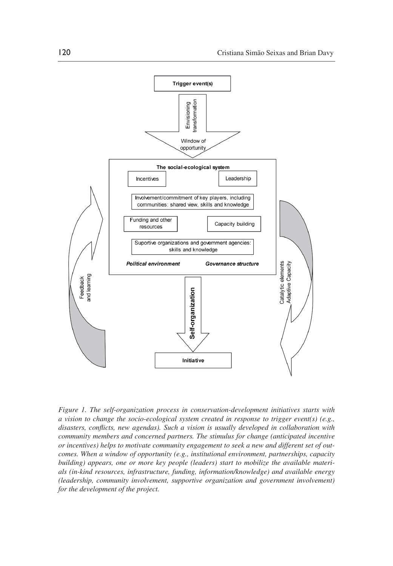

*Figure 1. The self-organization process in conservation-development initiatives starts with a vision to change the socio-ecological system created in response to trigger event(s) (e.g., disasters, conflicts, new agendas). Such a vision is usually developed in collaboration with community members and concerned partners. The stimulus for change (anticipated incentive or incentives) helps to motivate community engagement to seek a new and different set of outcomes. When a window of opportunity (e.g., institutional environment, partnerships, capacity building) appears, one or more key people (leaders) start to mobilize the available materials (in-kind resources, infrastructure, funding, information/knowledge) and available energy (leadership, community involvement, supportive organization and government involvement) for the development of the project.*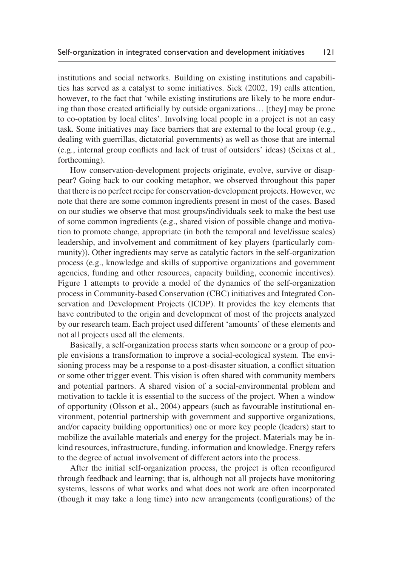institutions and social networks. Building on existing institutions and capabilities has served as a catalyst to some initiatives. Sick (2002, 19) calls attention, however, to the fact that 'while existing institutions are likely to be more enduring than those created artificially by outside organizations… [they] may be prone to co-optation by local elites'. Involving local people in a project is not an easy task. Some initiatives may face barriers that are external to the local group (e.g., dealing with guerrillas, dictatorial governments) as well as those that are internal (e.g., internal group conflicts and lack of trust of outsiders' ideas) (Seixas et al., forthcoming).

How conservation-development projects originate, evolve, survive or disappear? Going back to our cooking metaphor, we observed throughout this paper that there is no perfect recipe for conservation-development projects. However, we note that there are some common ingredients present in most of the cases. Based on our studies we observe that most groups/individuals seek to make the best use of some common ingredients (e.g., shared vision of possible change and motivation to promote change, appropriate (in both the temporal and level/issue scales) leadership, and involvement and commitment of key players (particularly community)). Other ingredients may serve as catalytic factors in the self-organization process (e.g., knowledge and skills of supportive organizations and government agencies, funding and other resources, capacity building, economic incentives). Figure 1 attempts to provide a model of the dynamics of the self-organization process in Community-based Conservation (CBC) initiatives and Integrated Conservation and Development Projects (ICDP). It provides the key elements that have contributed to the origin and development of most of the projects analyzed by our research team. Each project used different 'amounts' of these elements and not all projects used all the elements.

Basically, a self-organization process starts when someone or a group of people envisions a transformation to improve a social-ecological system. The envisioning process may be a response to a post-disaster situation, a conflict situation or some other trigger event. This vision is often shared with community members and potential partners. A shared vision of a social-environmental problem and motivation to tackle it is essential to the success of the project. When a window of opportunity (Olsson et al., 2004) appears (such as favourable institutional environment, potential partnership with government and supportive organizations, and/or capacity building opportunities) one or more key people (leaders) start to mobilize the available materials and energy for the project. Materials may be inkind resources, infrastructure, funding, information and knowledge. Energy refers to the degree of actual involvement of different actors into the process.

After the initial self-organization process, the project is often reconfigured through feedback and learning; that is, although not all projects have monitoring systems, lessons of what works and what does not work are often incorporated (though it may take a long time) into new arrangements (configurations) of the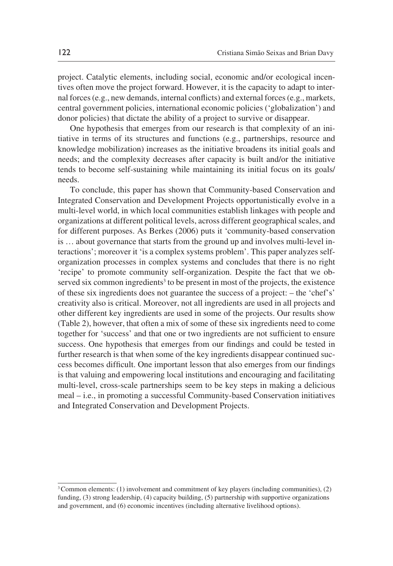project. Catalytic elements, including social, economic and/or ecological incentives often move the project forward. However, it is the capacity to adapt to internal forces (e.g., new demands, internal conflicts) and external forces (e.g., markets, central government policies, international economic policies ('globalization') and donor policies) that dictate the ability of a project to survive or disappear.

One hypothesis that emerges from our research is that complexity of an initiative in terms of its structures and functions (e.g., partnerships, resource and knowledge mobilization) increases as the initiative broadens its initial goals and needs; and the complexity decreases after capacity is built and/or the initiative tends to become self-sustaining while maintaining its initial focus on its goals/ needs.

To conclude, this paper has shown that Community-based Conservation and Integrated Conservation and Development Projects opportunistically evolve in a multi-level world, in which local communities establish linkages with people and organizations at different political levels, across different geographical scales, and for different purposes. As Berkes (2006) puts it 'community-based conservation is … about governance that starts from the ground up and involves multi-level interactions'; moreover it 'is a complex systems problem'. This paper analyzes selforganization processes in complex systems and concludes that there is no right 'recipe' to promote community self-organization. Despite the fact that we observed six common ingredients<sup>3</sup> to be present in most of the projects, the existence of these six ingredients does not guarantee the success of a project: – the 'chef's' creativity also is critical. Moreover, not all ingredients are used in all projects and other different key ingredients are used in some of the projects. Our results show (Table 2), however, that often a mix of some of these six ingredients need to come together for 'success' and that one or two ingredients are not sufficient to ensure success. One hypothesis that emerges from our findings and could be tested in further research is that when some of the key ingredients disappear continued success becomes difficult. One important lesson that also emerges from our findings is that valuing and empowering local institutions and encouraging and facilitating multi-level, cross-scale partnerships seem to be key steps in making a delicious meal – i.e., in promoting a successful Community-based Conservation initiatives and Integrated Conservation and Development Projects.

<sup>&</sup>lt;sup>3</sup> Common elements: (1) involvement and commitment of key players (including communities), (2) funding, (3) strong leadership, (4) capacity building, (5) partnership with supportive organizations and government, and (6) economic incentives (including alternative livelihood options).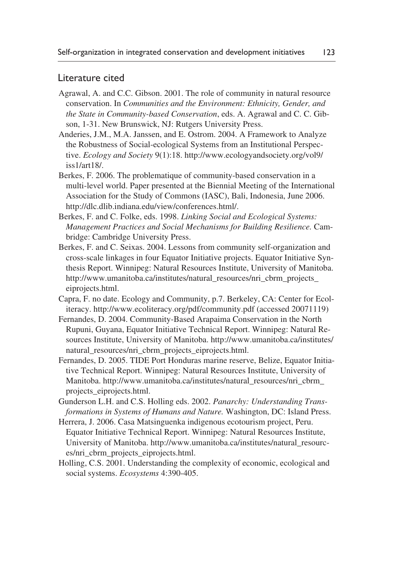## Literature cited

- Agrawal, A. and C.C. Gibson. 2001. The role of community in natural resource conservation. In *Communities and the Environment: Ethnicity, Gender, and the State in Community-based Conservation*, eds. A. Agrawal and C. C. Gibson, 1-31. New Brunswick, NJ: Rutgers University Press.
- Anderies, J.M., M.A. Janssen, and E. Ostrom. 2004. A Framework to Analyze the Robustness of Social-ecological Systems from an Institutional Perspective. *Ecology and Society* 9(1):18. http://www.ecologyandsociety.org/vol9/ iss1/art18/.
- Berkes, F. 2006. The problematique of community-based conservation in a multi-level world. Paper presented at the Biennial Meeting of the International Association for the Study of Commons (IASC), Bali, Indonesia, June 2006. http://dlc.dlib.indiana.edu/view/conferences.html/.
- Berkes, F. and C. Folke, eds. 1998. *Linking Social and Ecological Systems: Management Practices and Social Mechanisms for Building Resilience.* Cambridge: Cambridge University Press.
- Berkes, F. and C. Seixas. 2004. Lessons from community self-organization and cross-scale linkages in four Equator Initiative projects. Equator Initiative Synthesis Report. Winnipeg: Natural Resources Institute, University of Manitoba. http://www.umanitoba.ca/institutes/natural\_resources/nri\_cbrm\_projects\_ eiprojects.html.
- Capra, F. no date. Ecology and Community, p.7. Berkeley, CA: Center for Ecoliteracy. http://www.ecoliteracy.org/pdf/community.pdf (accessed 20071119)
- Fernandes, D. 2004. Community-Based Arapaima Conservation in the North Rupuni, Guyana, Equator Initiative Technical Report. Winnipeg: Natural Resources Institute, University of Manitoba. http://www.umanitoba.ca/institutes/ natural resources/nri cbrm projects eiprojects.html.
- Fernandes, D. 2005. TIDE Port Honduras marine reserve, Belize, Equator Initiative Technical Report. Winnipeg: Natural Resources Institute, University of Manitoba. http://www.umanitoba.ca/institutes/natural\_resources/nri\_cbrm\_ projects\_eiprojects.html.
- Gunderson L.H. and C.S. Holling eds. 2002. *Panarchy: Understanding Transformations in Systems of Humans and Nature.* Washington, DC: Island Press.
- Herrera, J. 2006. Casa Matsinguenka indigenous ecotourism project, Peru. Equator Initiative Technical Report. Winnipeg: Natural Resources Institute, University of Manitoba. http://www.umanitoba.ca/institutes/natural\_resources/nri\_cbrm\_projects\_eiprojects.html.
- Holling, C.S. 2001. Understanding the complexity of economic, ecological and social systems. *Ecosystems* 4:390-405.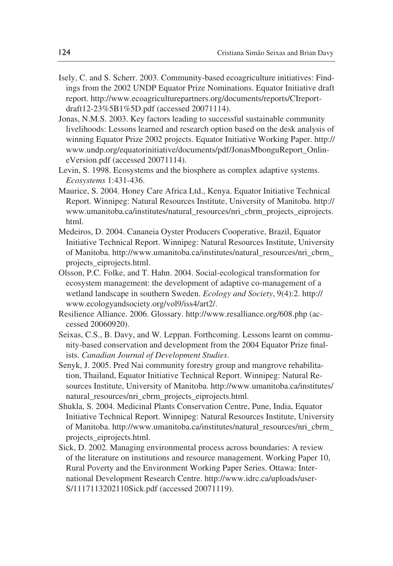- Isely, C. and S. Scherr. 2003. Community-based ecoagriculture initiatives: Findings from the 2002 UNDP Equator Prize Nominations. Equator Initiative draft report. http://www.ecoagriculturepartners.org/documents/reports/CIreportdraft12-23%5B1%5D.pdf (accessed 20071114).
- Jonas, N.M.S. 2003. Key factors leading to successful sustainable community livelihoods: Lessons learned and research option based on the desk analysis of winning Equator Prize 2002 projects. Equator Initiative Working Paper. http:// www.undp.org/equatorinitiative/documents/pdf/JonasMbonguReport\_OnlineVersion.pdf (accessed 20071114).
- Levin, S. 1998. Ecosystems and the biosphere as complex adaptive systems. *Ecosystems* 1:431-436.
- Maurice, S. 2004. Honey Care Africa Ltd., Kenya. Equator Initiative Technical Report. Winnipeg: Natural Resources Institute, University of Manitoba. http:// www.umanitoba.ca/institutes/natural\_resources/nri\_cbrm\_projects\_eiprojects. html.
- Medeiros, D. 2004. Cananeia Oyster Producers Cooperative, Brazil, Equator Initiative Technical Report. Winnipeg: Natural Resources Institute, University of Manitoba. http://www.umanitoba.ca/institutes/natural\_resources/nri\_cbrm\_ projects\_eiprojects.html.
- Olsson, P.C. Folke, and T. Hahn. 2004. Social-ecological transformation for ecosystem management: the development of adaptive co-management of a wetland landscape in southern Sweden. *Ecology and Society*, 9(4):2. http:// www.ecologyandsociety.org/vol9/iss4/art2/.
- Resilience Alliance. 2006. Glossary. http://www.resalliance.org/608.php (accessed 20060920).
- Seixas, C.S., B. Davy, and W. Leppan. Forthcoming. Lessons learnt on community-based conservation and development from the 2004 Equator Prize finalists. *Canadian Journal of Development Studies*.
- Senyk, J. 2005. Pred Nai community forestry group and mangrove rehabilitation, Thailand, Equator Initiative Technical Report. Winnipeg: Natural Resources Institute, University of Manitoba. http://www.umanitoba.ca/institutes/ natural\_resources/nri\_cbrm\_projects\_eiprojects.html.
- Shukla, S. 2004. Medicinal Plants Conservation Centre, Pune, India, Equator Initiative Technical Report. Winnipeg: Natural Resources Institute, University of Manitoba. http://www.umanitoba.ca/institutes/natural\_resources/nri\_cbrm\_ projects\_eiprojects.html.
- Sick, D. 2002. Managing environmental process across boundaries: A review of the literature on institutions and resource management. Working Paper 10, Rural Poverty and the Environment Working Paper Series. Ottawa: International Development Research Centre. http://www.idrc.ca/uploads/user-S/1117113202110Sick.pdf (accessed 20071119).